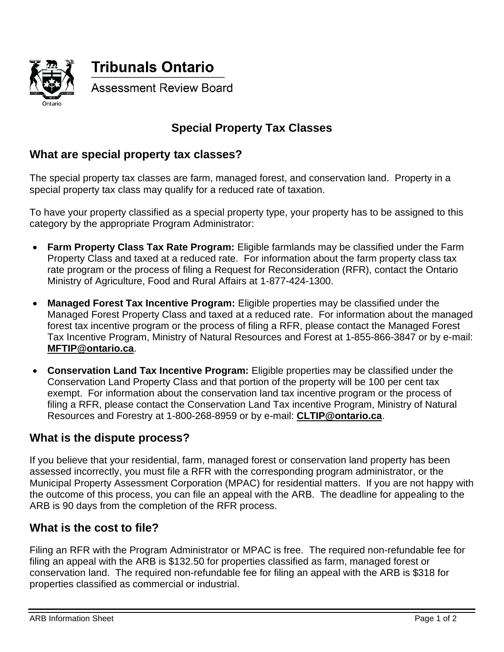

# **Special Property Tax Classes**

# **What are special property tax classes?**

The special property tax classes are farm, managed forest, and conservation land. Property in a special property tax class may qualify for a reduced rate of taxation.

To have your property classified as a special property type, your property has to be assigned to this category by the appropriate Program Administrator:

- **Farm Property Class Tax Rate Program:** Eligible farmlands may be classified under the Farm Property Class and taxed at a reduced rate. For information about the farm property class tax rate program or the process of filing a Request for Reconsideration (RFR), contact the Ontario Ministry of Agriculture, Food and Rural Affairs at 1-877-424-1300.
- **Managed Forest Tax Incentive Program:** Eligible properties may be classified under the Managed Forest Property Class and taxed at a reduced rate. For information about the managed forest tax incentive program or the process of filing a RFR, please contact the Managed Forest Tax Incentive Program, Ministry of Natural Resources and Forest at 1-855-866-3847 or by e-mail: **[MFTIP@ontario.ca](mailto:MFTIP@ontario.ca)**.
- **Conservation Land Tax Incentive Program:** Eligible properties may be classified under the Conservation Land Property Class and that portion of the property will be 100 per cent tax exempt. For information about the conservation land tax incentive program or the process of filing a RFR, please contact the Conservation Land Tax incentive Program, Ministry of Natural Resources and Forestry at 1-800-268-8959 or by e-mail: **[CLTIP@ontario.ca](mailto:CLTIP@ontario.ca)**.

# **What is the dispute process?**

If you believe that your residential, farm, managed forest or conservation land property has been assessed incorrectly, you must file a RFR with the corresponding program administrator, or the Municipal Property Assessment Corporation (MPAC) for residential matters. If you are not happy with the outcome of this process, you can file an appeal with the ARB. The deadline for appealing to the ARB is 90 days from the completion of the RFR process.

#### **What is the cost to file?**

Filing an RFR with the Program Administrator or MPAC is free. The required non-refundable fee for filing an appeal with the ARB is \$132.50 for properties classified as farm, managed forest or conservation land. The required non-refundable fee for filing an appeal with the ARB is \$318 for properties classified as commercial or industrial.